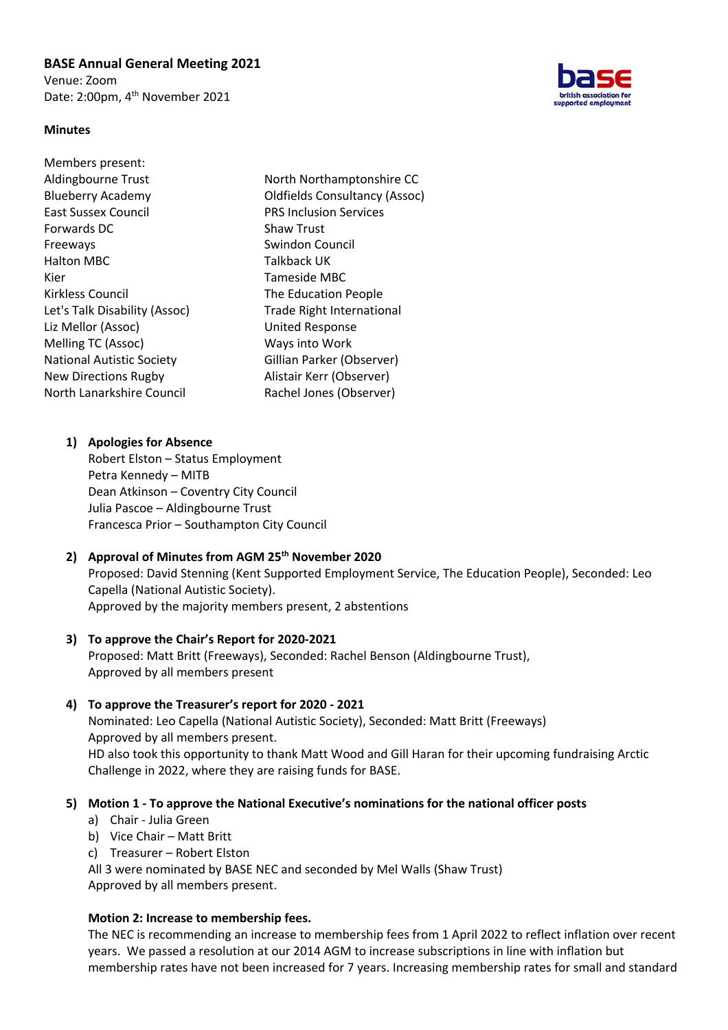### **BASE Annual General Meeting 2021**

Venue: Zoom Date: 2:00pm, 4<sup>th</sup> November 2021



#### **Minutes**

| Members present:                 |                                      |
|----------------------------------|--------------------------------------|
| Aldingbourne Trust               | North Northamptonshire CC            |
| <b>Blueberry Academy</b>         | <b>Oldfields Consultancy (Assoc)</b> |
| East Sussex Council              | <b>PRS Inclusion Services</b>        |
| Forwards DC                      | <b>Shaw Trust</b>                    |
| Freeways                         | Swindon Council                      |
| <b>Halton MBC</b>                | Talkback UK                          |
| Kier                             | Tameside MBC                         |
| Kirkless Council                 | The Education People                 |
| Let's Talk Disability (Assoc)    | <b>Trade Right International</b>     |
| Liz Mellor (Assoc)               | <b>United Response</b>               |
| Melling TC (Assoc)               | Ways into Work                       |
| <b>National Autistic Society</b> | Gillian Parker (Observer)            |
| <b>New Directions Rugby</b>      | Alistair Kerr (Observer)             |
| North Lanarkshire Council        | Rachel Jones (Observer)              |
|                                  |                                      |

#### **1) Apologies for Absence**

Robert Elston – Status Employment Petra Kennedy – MITB Dean Atkinson – Coventry City Council Julia Pascoe – Aldingbourne Trust Francesca Prior – Southampton City Council

# **2) Approval of Minutes from AGM 25th November 2020**

Proposed: David Stenning (Kent Supported Employment Service, The Education People), Seconded: Leo Capella (National Autistic Society). Approved by the majority members present, 2 abstentions

#### **3) To approve the Chair's Report for 2020-2021**

Proposed: Matt Britt (Freeways), Seconded: Rachel Benson (Aldingbourne Trust), Approved by all members present

#### **4) To approve the Treasurer's report for 2020 - 2021**

Nominated: Leo Capella (National Autistic Society), Seconded: Matt Britt (Freeways) Approved by all members present. HD also took this opportunity to thank Matt Wood and Gill Haran for their upcoming fundraising Arctic

Challenge in 2022, where they are raising funds for BASE.

#### **5) Motion 1 - To approve the National Executive's nominations for the national officer posts**

- a) Chair Julia Green
- b) Vice Chair Matt Britt
- c) Treasurer Robert Elston

All 3 were nominated by BASE NEC and seconded by Mel Walls (Shaw Trust) Approved by all members present.

#### **Motion 2: Increase to membership fees.**

The NEC is recommending an increase to membership fees from 1 April 2022 to reflect inflation over recent years. We passed a resolution at our 2014 AGM to increase subscriptions in line with inflation but membership rates have not been increased for 7 years. Increasing membership rates for small and standard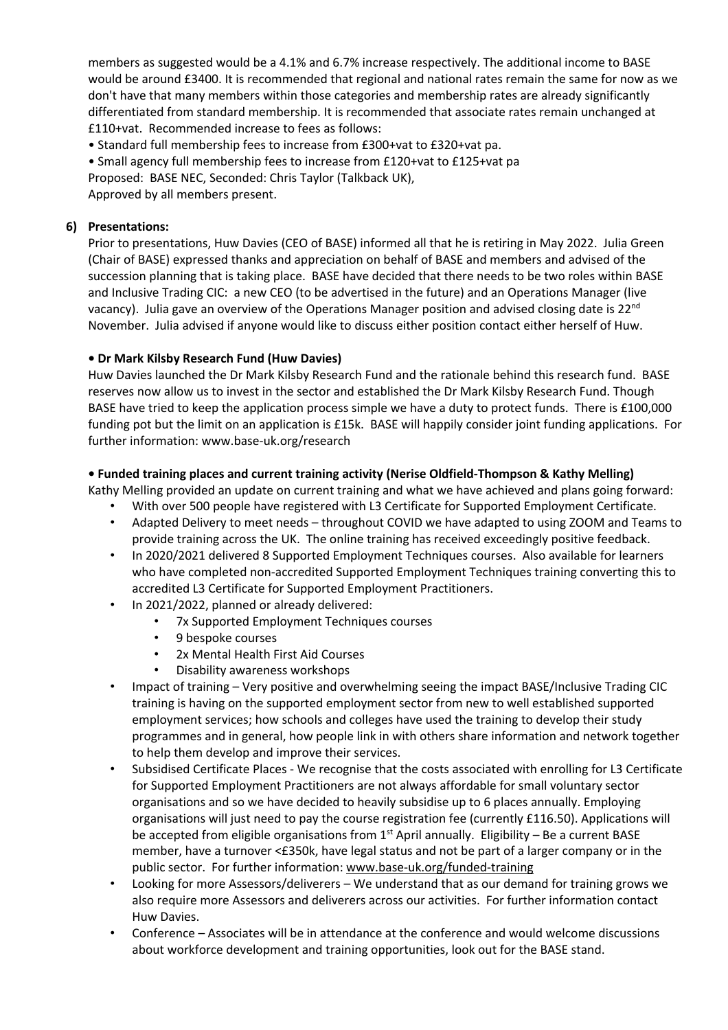members as suggested would be a 4.1% and 6.7% increase respectively. The additional income to BASE would be around £3400. It is recommended that regional and national rates remain the same for now as we don't have that many members within those categories and membership rates are already significantly differentiated from standard membership. It is recommended that associate rates remain unchanged at £110+vat. Recommended increase to fees as follows:

• Standard full membership fees to increase from £300+vat to £320+vat pa.

• Small agency full membership fees to increase from £120+vat to £125+vat pa

Proposed: BASE NEC, Seconded: Chris Taylor (Talkback UK),

Approved by all members present.

## **6) Presentations:**

Prior to presentations, Huw Davies (CEO of BASE) informed all that he is retiring in May 2022. Julia Green (Chair of BASE) expressed thanks and appreciation on behalf of BASE and members and advised of the succession planning that is taking place. BASE have decided that there needs to be two roles within BASE and Inclusive Trading CIC: a new CEO (to be advertised in the future) and an Operations Manager (live vacancy). Julia gave an overview of the Operations Manager position and advised closing date is 22<sup>nd</sup> November. Julia advised if anyone would like to discuss either position contact either herself of Huw.

## **• Dr Mark Kilsby Research Fund (Huw Davies)**

Huw Davies launched the Dr Mark Kilsby Research Fund and the rationale behind this research fund. BASE reserves now allow us to invest in the sector and established the Dr Mark Kilsby Research Fund. Though BASE have tried to keep the application process simple we have a duty to protect funds. There is £100,000 funding pot but the limit on an application is £15k. BASE will happily consider joint funding applications. For further information: www.base-uk.org/research

## **• Funded training places and current training activity (Nerise Oldfield-Thompson & Kathy Melling)**

Kathy Melling provided an update on current training and what we have achieved and plans going forward:

- With over 500 people have registered with L3 Certificate for Supported Employment Certificate. • Adapted Delivery to meet needs – throughout COVID we have adapted to using ZOOM and Teams to
- provide training across the UK. The online training has received exceedingly positive feedback. • In 2020/2021 delivered 8 Supported Employment Techniques courses. Also available for learners who have completed non-accredited Supported Employment Techniques training converting this to accredited L3 Certificate for Supported Employment Practitioners.
- In 2021/2022, planned or already delivered:
	- 7x Supported Employment Techniques courses
	- 9 bespoke courses
	- 2x Mental Health First Aid Courses
	- Disability awareness workshops
- Impact of training Very positive and overwhelming seeing the impact BASE/Inclusive Trading CIC training is having on the supported employment sector from new to well established supported employment services; how schools and colleges have used the training to develop their study programmes and in general, how people link in with others share information and network together to help them develop and improve their services.
- Subsidised Certificate Places We recognise that the costs associated with enrolling for L3 Certificate for Supported Employment Practitioners are not always affordable for small voluntary sector organisations and so we have decided to heavily subsidise up to 6 places annually. Employing organisations will just need to pay the course registration fee (currently £116.50). Applications will be accepted from eligible organisations from  $1<sup>st</sup>$  April annually. Eligibility – Be a current BASE member, have a turnover <£350k, have legal status and not be part of a larger company or in the public sector. For further information: www.base-uk.org/funded-training
- Looking for more Assessors/deliverers We understand that as our demand for training grows we also require more Assessors and deliverers across our activities. For further information contact Huw Davies.
- Conference Associates will be in attendance at the conference and would welcome discussions about workforce development and training opportunities, look out for the BASE stand.